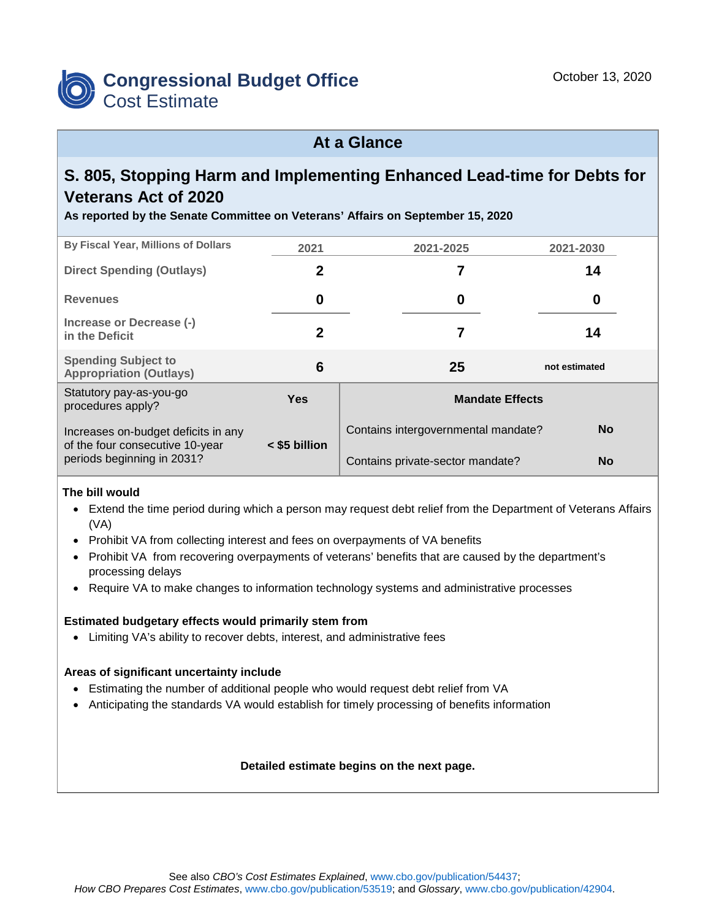

### **At a Glance**

# **S. 805, Stopping Harm and Implementing Enhanced Lead-time for Debts for Veterans Act of 2020**

**As reported by the Senate Committee on Veterans' Affairs on September 15, 2020**

| By Fiscal Year, Millions of Dollars                                    | 2021          | 2021-2025                           | 2021-2030     |  |  |
|------------------------------------------------------------------------|---------------|-------------------------------------|---------------|--|--|
| <b>Direct Spending (Outlays)</b>                                       | 2             | 7                                   | 14            |  |  |
| <b>Revenues</b>                                                        | 0             | 0                                   | 0             |  |  |
| Increase or Decrease (-)<br>in the Deficit                             | 2             |                                     | 14            |  |  |
| <b>Spending Subject to</b><br><b>Appropriation (Outlays)</b>           | 6             | 25                                  | not estimated |  |  |
| Statutory pay-as-you-go<br>procedures apply?                           | <b>Yes</b>    | <b>Mandate Effects</b>              |               |  |  |
| Increases on-budget deficits in any<br>of the four consecutive 10-year | < \$5 billion | Contains intergovernmental mandate? | <b>No</b>     |  |  |
| periods beginning in 2031?                                             |               | Contains private-sector mandate?    | <b>No</b>     |  |  |

### **The bill would**

- Extend the time period during which a person may request debt relief from the Department of Veterans Affairs (VA)
- Prohibit VA from collecting interest and fees on overpayments of VA benefits
- Prohibit VA from recovering overpayments of veterans' benefits that are caused by the department's processing delays
- Require VA to make changes to information technology systems and administrative processes

### **Estimated budgetary effects would primarily stem from**

• Limiting VA's ability to recover debts, interest, and administrative fees

### **Areas of significant uncertainty include**

- Estimating the number of additional people who would request debt relief from VA
- Anticipating the standards VA would establish for timely processing of benefits information

### **Detailed estimate begins on the next page.**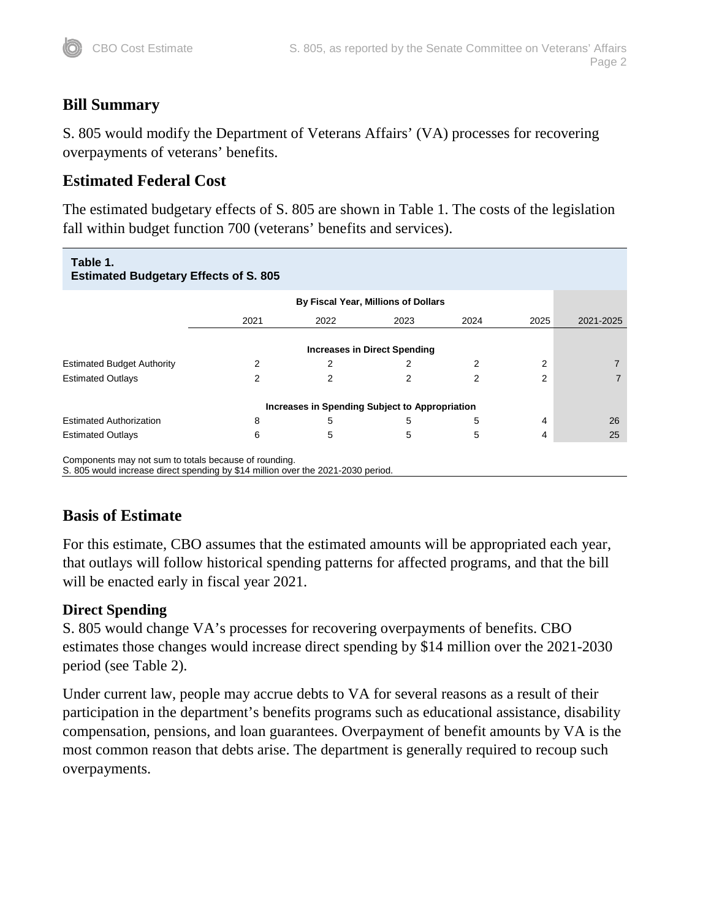# **Bill Summary**

S. 805 would modify the Department of Veterans Affairs' (VA) processes for recovering overpayments of veterans' benefits.

# **Estimated Federal Cost**

The estimated budgetary effects of S. 805 are shown in Table 1. The costs of the legislation fall within budget function 700 (veterans' benefits and services).

| Table 1.<br><b>Estimated Budgetary Effects of S. 805</b> |                                     |                                                |      |      |      |           |  |  |
|----------------------------------------------------------|-------------------------------------|------------------------------------------------|------|------|------|-----------|--|--|
|                                                          | By Fiscal Year, Millions of Dollars |                                                |      |      |      |           |  |  |
|                                                          | 2021                                | 2022                                           | 2023 | 2024 | 2025 | 2021-2025 |  |  |
|                                                          | <b>Increases in Direct Spending</b> |                                                |      |      |      |           |  |  |
| <b>Estimated Budget Authority</b>                        | 2                                   | 2                                              | 2    | 2    | 2    |           |  |  |
| <b>Estimated Outlays</b>                                 | 2                                   | 2                                              | 2    | 2    | 2    |           |  |  |
|                                                          |                                     | Increases in Spending Subject to Appropriation |      |      |      |           |  |  |
| <b>Estimated Authorization</b>                           | 8                                   | 5                                              | 5    | 5    | 4    | 26        |  |  |
| <b>Estimated Outlays</b>                                 | 6                                   | 5                                              | 5    | 5    | 4    | 25        |  |  |
| Components may not sum to totals because of rounding.    |                                     |                                                |      |      |      |           |  |  |

S. 805 would increase direct spending by \$14 million over the 2021-2030 period.

# **Basis of Estimate**

For this estimate, CBO assumes that the estimated amounts will be appropriated each year, that outlays will follow historical spending patterns for affected programs, and that the bill will be enacted early in fiscal year 2021.

## **Direct Spending**

S. 805 would change VA's processes for recovering overpayments of benefits. CBO estimates those changes would increase direct spending by \$14 million over the 2021-2030 period (see Table 2).

Under current law, people may accrue debts to VA for several reasons as a result of their participation in the department's benefits programs such as educational assistance, disability compensation, pensions, and loan guarantees. Overpayment of benefit amounts by VA is the most common reason that debts arise. The department is generally required to recoup such overpayments.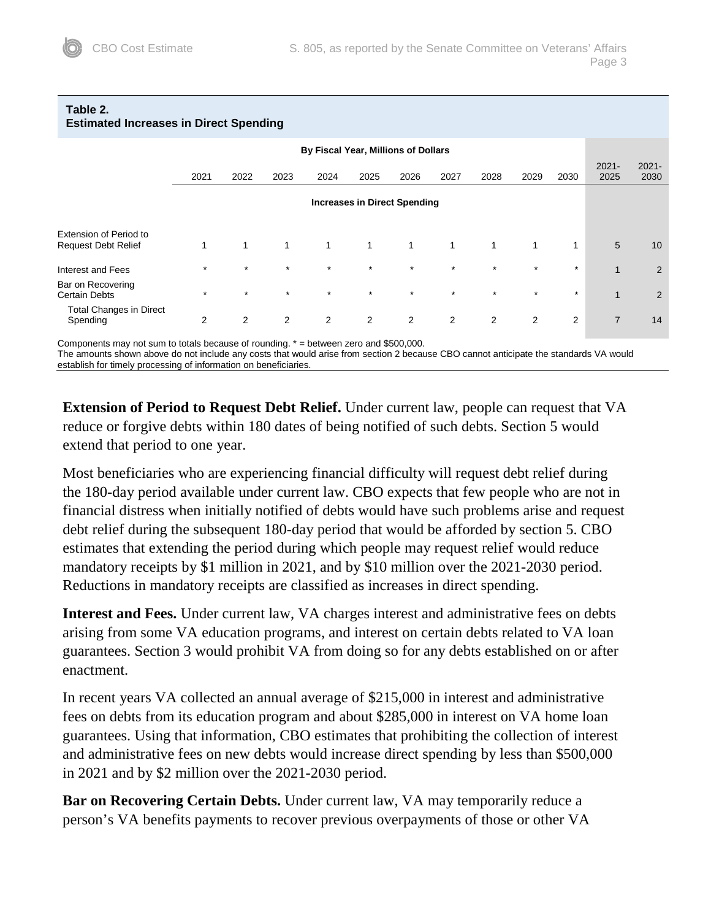| <b>Estimated Increases in Direct Spending</b>               |                |                |                |              |                                     |                |              |              |                |              |                  |                  |
|-------------------------------------------------------------|----------------|----------------|----------------|--------------|-------------------------------------|----------------|--------------|--------------|----------------|--------------|------------------|------------------|
| By Fiscal Year, Millions of Dollars                         |                |                |                |              |                                     |                |              |              |                |              |                  |                  |
|                                                             | 2021           | 2022           | 2023           | 2024         | 2025                                | 2026           | 2027         | 2028         | 2029           | 2030         | $2021 -$<br>2025 | $2021 -$<br>2030 |
|                                                             |                |                |                |              | <b>Increases in Direct Spending</b> |                |              |              |                |              |                  |                  |
| <b>Extension of Period to</b><br><b>Request Debt Relief</b> | 1              | $\mathbf{1}$   | $\mathbf{1}$   | $\mathbf{1}$ | $\mathbf{1}$                        | $\mathbf{1}$   | $\mathbf{1}$ | $\mathbf{1}$ | $\mathbf{1}$   | $\mathbf{1}$ | 5                | 10               |
| Interest and Fees                                           | $\star$        | $\star$        | $\star$        | $\star$      | $\star$                             | $\star$        | $\star$      | $\star$      | $\star$        | $\star$      | $\mathbf{1}$     | 2                |
| Bar on Recovering<br><b>Certain Debts</b>                   | $\star$        | $\star$        | $\star$        | $\star$      | $\star$                             | $\star$        | $\star$      | $\star$      | $\star$        | $\star$      | $\mathbf{1}$     | 2                |
| <b>Total Changes in Direct</b><br>Spending                  | $\overline{2}$ | $\overline{2}$ | $\overline{2}$ | 2            | $\overline{2}$                      | $\overline{2}$ | 2            | 2            | $\overline{2}$ | 2            | $\overline{7}$   | 14               |

# **Table 2.**

Components may not sum to totals because of rounding. \* = between zero and \$500,000.

The amounts shown above do not include any costs that would arise from section 2 because CBO cannot anticipate the standards VA would establish for timely processing of information on beneficiaries.

**Extension of Period to Request Debt Relief.** Under current law, people can request that VA reduce or forgive debts within 180 dates of being notified of such debts. Section 5 would extend that period to one year.

Most beneficiaries who are experiencing financial difficulty will request debt relief during the 180-day period available under current law. CBO expects that few people who are not in financial distress when initially notified of debts would have such problems arise and request debt relief during the subsequent 180-day period that would be afforded by section 5. CBO estimates that extending the period during which people may request relief would reduce mandatory receipts by \$1 million in 2021, and by \$10 million over the 2021-2030 period. Reductions in mandatory receipts are classified as increases in direct spending.

**Interest and Fees.** Under current law, VA charges interest and administrative fees on debts arising from some VA education programs, and interest on certain debts related to VA loan guarantees. Section 3 would prohibit VA from doing so for any debts established on or after enactment.

In recent years VA collected an annual average of \$215,000 in interest and administrative fees on debts from its education program and about \$285,000 in interest on VA home loan guarantees. Using that information, CBO estimates that prohibiting the collection of interest and administrative fees on new debts would increase direct spending by less than \$500,000 in 2021 and by \$2 million over the 2021-2030 period.

**Bar on Recovering Certain Debts.** Under current law, VA may temporarily reduce a person's VA benefits payments to recover previous overpayments of those or other VA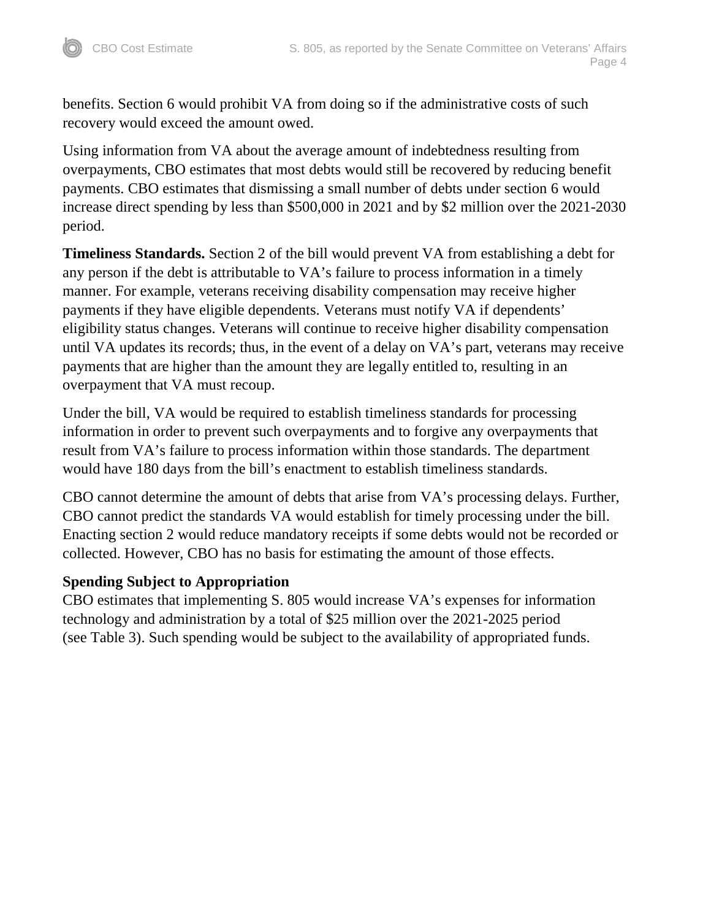benefits. Section 6 would prohibit VA from doing so if the administrative costs of such recovery would exceed the amount owed.

Using information from VA about the average amount of indebtedness resulting from overpayments, CBO estimates that most debts would still be recovered by reducing benefit payments. CBO estimates that dismissing a small number of debts under section 6 would increase direct spending by less than \$500,000 in 2021 and by \$2 million over the 2021-2030 period.

**Timeliness Standards.** Section 2 of the bill would prevent VA from establishing a debt for any person if the debt is attributable to VA's failure to process information in a timely manner. For example, veterans receiving disability compensation may receive higher payments if they have eligible dependents. Veterans must notify VA if dependents' eligibility status changes. Veterans will continue to receive higher disability compensation until VA updates its records; thus, in the event of a delay on VA's part, veterans may receive payments that are higher than the amount they are legally entitled to, resulting in an overpayment that VA must recoup.

Under the bill, VA would be required to establish timeliness standards for processing information in order to prevent such overpayments and to forgive any overpayments that result from VA's failure to process information within those standards. The department would have 180 days from the bill's enactment to establish timeliness standards.

CBO cannot determine the amount of debts that arise from VA's processing delays. Further, CBO cannot predict the standards VA would establish for timely processing under the bill. Enacting section 2 would reduce mandatory receipts if some debts would not be recorded or collected. However, CBO has no basis for estimating the amount of those effects.

### **Spending Subject to Appropriation**

CBO estimates that implementing S. 805 would increase VA's expenses for information technology and administration by a total of \$25 million over the 2021-2025 period (see Table 3). Such spending would be subject to the availability of appropriated funds.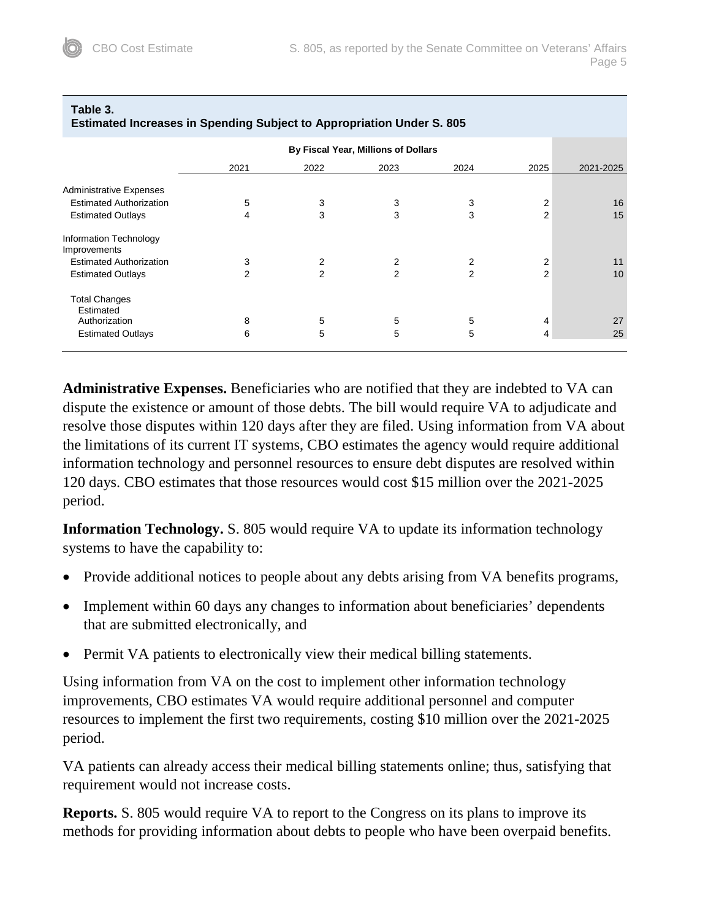| EStimated increases in openuing outlett to Appropriation Uniter 5. 600 |      |      |      |                |                |           |  |
|------------------------------------------------------------------------|------|------|------|----------------|----------------|-----------|--|
| By Fiscal Year, Millions of Dollars                                    |      |      |      |                |                |           |  |
|                                                                        | 2021 | 2022 | 2023 | 2024           | 2025           | 2021-2025 |  |
| <b>Administrative Expenses</b>                                         |      |      |      |                |                |           |  |
| <b>Estimated Authorization</b>                                         | 5    | 3    | 3    | 3              | $\overline{2}$ | 16        |  |
| <b>Estimated Outlays</b>                                               | 4    | 3    | 3    | 3              | 2              | 15        |  |
| Information Technology<br>Improvements                                 |      |      |      |                |                |           |  |
| <b>Estimated Authorization</b>                                         | 3    | 2    | 2    | 2              | 2              | 11        |  |
| <b>Estimated Outlays</b>                                               | 2    | 2    | 2    | $\overline{2}$ | $\overline{2}$ | 10        |  |
| <b>Total Changes</b><br>Estimated                                      |      |      |      |                |                |           |  |
| Authorization                                                          | 8    | 5    | 5    | 5              | 4              | 27        |  |
| <b>Estimated Outlays</b>                                               | 6    | 5    | 5    | 5              | 4              | 25        |  |
|                                                                        |      |      |      |                |                |           |  |

**Estimated Increases in Spending Subject to Appropriation Under S. 805**

# **Table 3.**

**Administrative Expenses.** Beneficiaries who are notified that they are indebted to VA can dispute the existence or amount of those debts. The bill would require VA to adjudicate and resolve those disputes within 120 days after they are filed. Using information from VA about the limitations of its current IT systems, CBO estimates the agency would require additional information technology and personnel resources to ensure debt disputes are resolved within 120 days. CBO estimates that those resources would cost \$15 million over the 2021-2025 period.

**Information Technology.** S. 805 would require VA to update its information technology systems to have the capability to:

- Provide additional notices to people about any debts arising from VA benefits programs,
- Implement within 60 days any changes to information about beneficiaries' dependents that are submitted electronically, and
- Permit VA patients to electronically view their medical billing statements.

Using information from VA on the cost to implement other information technology improvements, CBO estimates VA would require additional personnel and computer resources to implement the first two requirements, costing \$10 million over the 2021-2025 period.

VA patients can already access their medical billing statements online; thus, satisfying that requirement would not increase costs.

**Reports.** S. 805 would require VA to report to the Congress on its plans to improve its methods for providing information about debts to people who have been overpaid benefits.